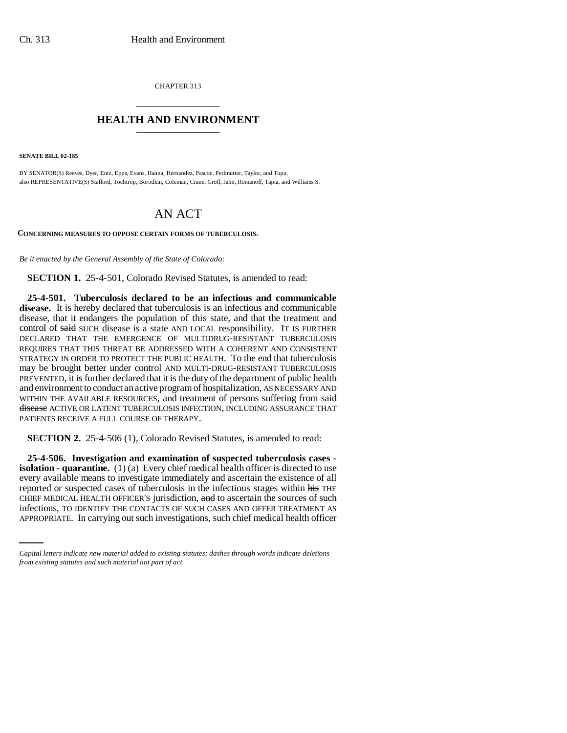CHAPTER 313 \_\_\_\_\_\_\_\_\_\_\_\_\_\_\_

## **HEALTH AND ENVIRONMENT** \_\_\_\_\_\_\_\_\_\_\_\_\_\_\_

**SENATE BILL 02-185**

BY SENATOR(S) Reeves, Dyer, Entz, Epps, Evans, Hanna, Hernandez, Pascoe, Perlmutter, Taylor, and Tupa; also REPRESENTATIVE(S) Stafford, Tochtrop, Borodkin, Coleman, Crane, Groff, Jahn, Romanoff, Tapia, and Williams S.

## AN ACT

**CONCERNING MEASURES TO OPPOSE CERTAIN FORMS OF TUBERCULOSIS.**

*Be it enacted by the General Assembly of the State of Colorado:*

**SECTION 1.** 25-4-501, Colorado Revised Statutes, is amended to read:

**25-4-501. Tuberculosis declared to be an infectious and communicable disease.** It is hereby declared that tuberculosis is an infectious and communicable disease, that it endangers the population of this state, and that the treatment and control of said SUCH disease is a state AND LOCAL responsibility. IT IS FURTHER DECLARED THAT THE EMERGENCE OF MULTIDRUG-RESISTANT TUBERCULOSIS REQUIRES THAT THIS THREAT BE ADDRESSED WITH A COHERENT AND CONSISTENT STRATEGY IN ORDER TO PROTECT THE PUBLIC HEALTH. To the end that tuberculosis may be brought better under control AND MULTI-DRUG-RESISTANT TUBERCULOSIS PREVENTED, it is further declared that it is the duty of the department of public health and environment to conduct an active program of hospitalization, AS NECESSARY AND WITHIN THE AVAILABLE RESOURCES, and treatment of persons suffering from said disease ACTIVE OR LATENT TUBERCULOSIS INFECTION, INCLUDING ASSURANCE THAT PATIENTS RECEIVE A FULL COURSE OF THERAPY.

**SECTION 2.** 25-4-506 (1), Colorado Revised Statutes, is amended to read:

CHIEF MEDICAL HEALTH OFFICER'S jurisdiction, and to ascertain the sources of such **25-4-506. Investigation and examination of suspected tuberculosis cases isolation - quarantine.** (1) (a) Every chief medical health officer is directed to use every available means to investigate immediately and ascertain the existence of all reported or suspected cases of tuberculosis in the infectious stages within his THE infections, TO IDENTIFY THE CONTACTS OF SUCH CASES AND OFFER TREATMENT AS APPROPRIATE. In carrying out such investigations, such chief medical health officer

*Capital letters indicate new material added to existing statutes; dashes through words indicate deletions from existing statutes and such material not part of act.*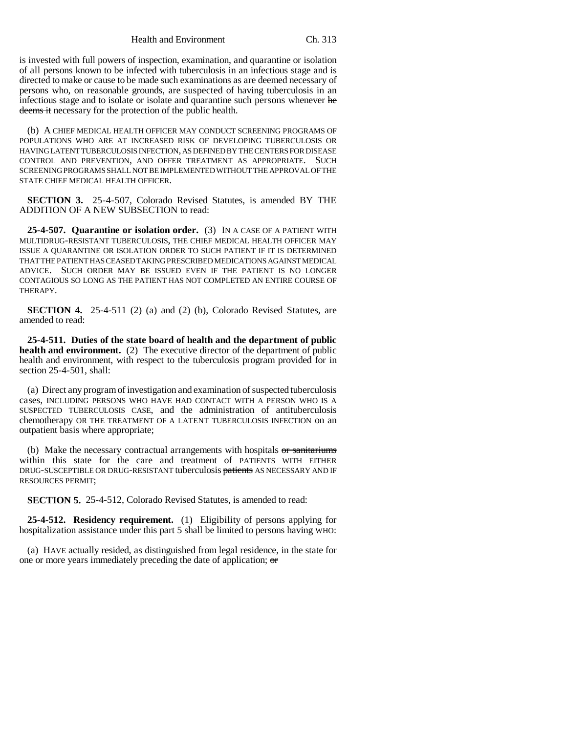Health and Environment Ch. 313

is invested with full powers of inspection, examination, and quarantine or isolation of all persons known to be infected with tuberculosis in an infectious stage and is directed to make or cause to be made such examinations as are deemed necessary of persons who, on reasonable grounds, are suspected of having tuberculosis in an infectious stage and to isolate or isolate and quarantine such persons whenever he deems it necessary for the protection of the public health.

(b) A CHIEF MEDICAL HEALTH OFFICER MAY CONDUCT SCREENING PROGRAMS OF POPULATIONS WHO ARE AT INCREASED RISK OF DEVELOPING TUBERCULOSIS OR HAVING LATENT TUBERCULOSIS INFECTION, AS DEFINED BY THE CENTERS FOR DISEASE CONTROL AND PREVENTION, AND OFFER TREATMENT AS APPROPRIATE. SUCH SCREENING PROGRAMS SHALL NOT BE IMPLEMENTED WITHOUT THE APPROVAL OF THE STATE CHIEF MEDICAL HEALTH OFFICER.

**SECTION 3.** 25-4-507, Colorado Revised Statutes, is amended BY THE ADDITION OF A NEW SUBSECTION to read:

**25-4-507. Quarantine or isolation order.** (3) IN A CASE OF A PATIENT WITH MULTIDRUG-RESISTANT TUBERCULOSIS, THE CHIEF MEDICAL HEALTH OFFICER MAY ISSUE A QUARANTINE OR ISOLATION ORDER TO SUCH PATIENT IF IT IS DETERMINED THAT THE PATIENT HAS CEASED TAKING PRESCRIBED MEDICATIONS AGAINST MEDICAL ADVICE. SUCH ORDER MAY BE ISSUED EVEN IF THE PATIENT IS NO LONGER CONTAGIOUS SO LONG AS THE PATIENT HAS NOT COMPLETED AN ENTIRE COURSE OF THERAPY.

**SECTION 4.** 25-4-511 (2) (a) and (2) (b), Colorado Revised Statutes, are amended to read:

**25-4-511. Duties of the state board of health and the department of public health and environment.** (2) The executive director of the department of public health and environment, with respect to the tuberculosis program provided for in section 25-4-501, shall:

(a) Direct any program of investigation and examination of suspected tuberculosis cases, INCLUDING PERSONS WHO HAVE HAD CONTACT WITH A PERSON WHO IS A SUSPECTED TUBERCULOSIS CASE, and the administration of antituberculosis chemotherapy OR THE TREATMENT OF A LATENT TUBERCULOSIS INFECTION on an outpatient basis where appropriate;

(b) Make the necessary contractual arrangements with hospitals or sanitariums within this state for the care and treatment of PATIENTS WITH EITHER DRUG-SUSCEPTIBLE OR DRUG-RESISTANT tuberculosis patients AS NECESSARY AND IF RESOURCES PERMIT;

**SECTION 5.** 25-4-512, Colorado Revised Statutes, is amended to read:

**25-4-512. Residency requirement.** (1) Eligibility of persons applying for hospitalization assistance under this part 5 shall be limited to persons having WHO:

(a) HAVE actually resided, as distinguished from legal residence, in the state for one or more years immediately preceding the date of application; or